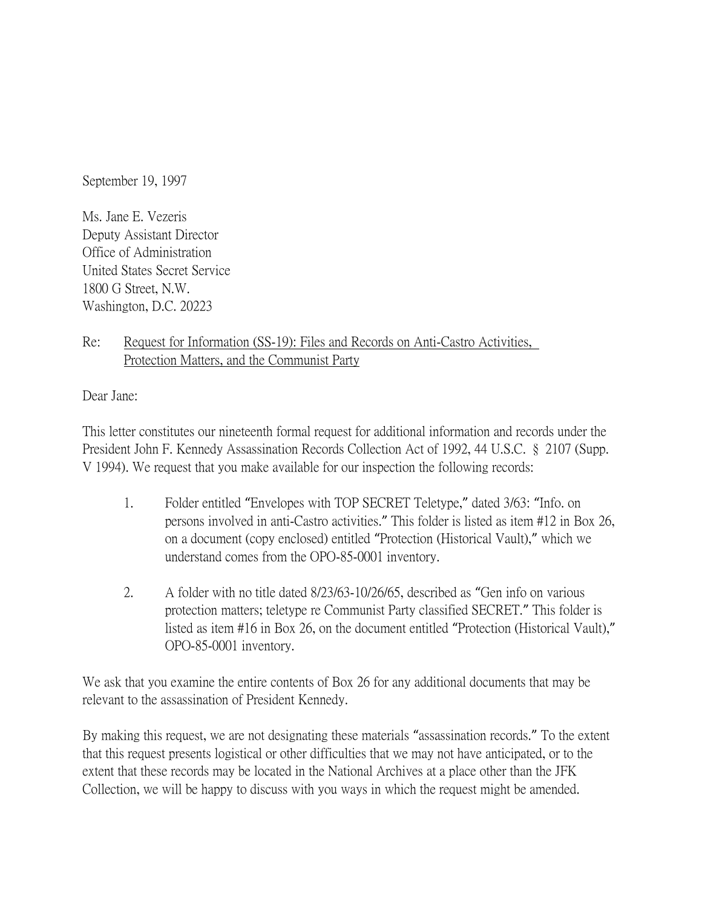September 19, 1997

Ms. Jane E. Vezeris Deputy Assistant Director Office of Administration United States Secret Service 1800 G Street, N.W. Washington, D.C. 20223

Re: Request for Information (SS-19): Files and Records on Anti-Castro Activities, Protection Matters, and the Communist Party

Dear Jane:

This letter constitutes our nineteenth formal request for additional information and records under the President John F. Kennedy Assassination Records Collection Act of 1992, 44 U.S.C. § 2107 (Supp. V 1994). We request that you make available for our inspection the following records:

- 1. Folder entitled "Envelopes with TOP SECRET Teletype," dated 3/63: "Info. on persons involved in anti-Castro activities." This folder is listed as item #12 in Box 26, on a document (copy enclosed) entitled "Protection (Historical Vault)," which we understand comes from the OPO-85-0001 inventory.
- 2. A folder with no title dated 8/23/63-10/26/65, described as "Gen info on various protection matters; teletype re Communist Party classified SECRET." This folder is listed as item #16 in Box 26, on the document entitled "Protection (Historical Vault)," OPO-85-0001 inventory.

We ask that you examine the entire contents of Box 26 for any additional documents that may be relevant to the assassination of President Kennedy.

By making this request, we are not designating these materials "assassination records." To the extent that this request presents logistical or other difficulties that we may not have anticipated, or to the extent that these records may be located in the National Archives at a place other than the JFK Collection, we will be happy to discuss with you ways in which the request might be amended.